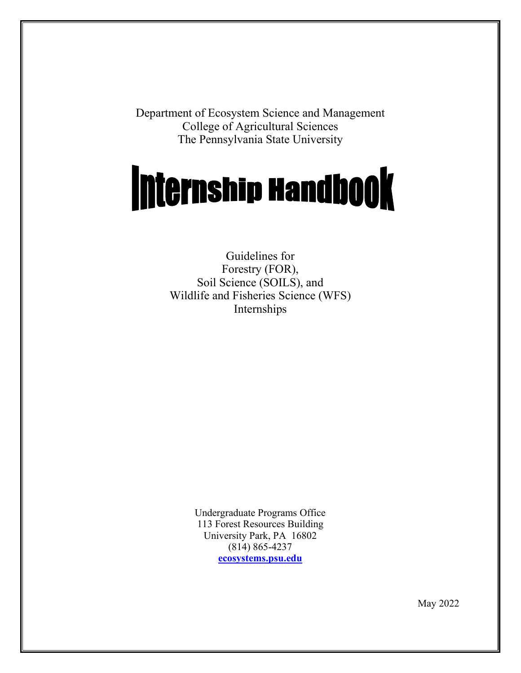Department of Ecosystem Science and Management College of Agricultural Sciences The Pennsylvania State University

# **Internship Handbook**

Guidelines for Forestry (FOR), Soil Science (SOILS), and Wildlife and Fisheries Science (WFS) Internships

> Undergraduate Programs Office 113 Forest Resources Building University Park, PA 16802 (814) 865-4237 **[ecosystems.psu.edu](https://ecosystems.psu.edu/)**

> > May 2022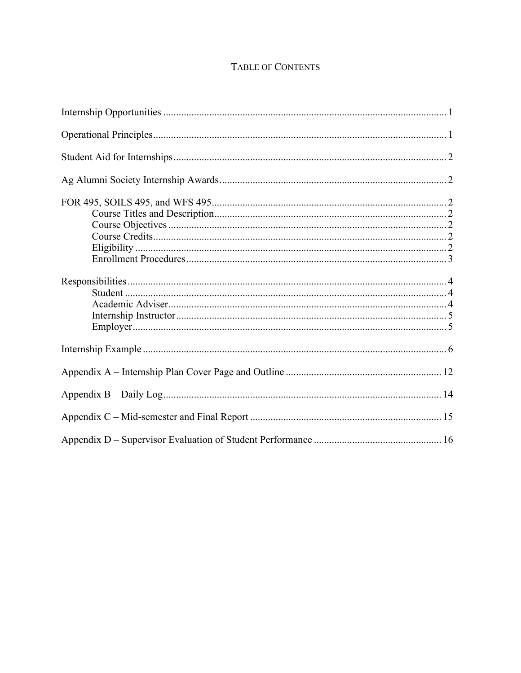#### TABLE OF CONTENTS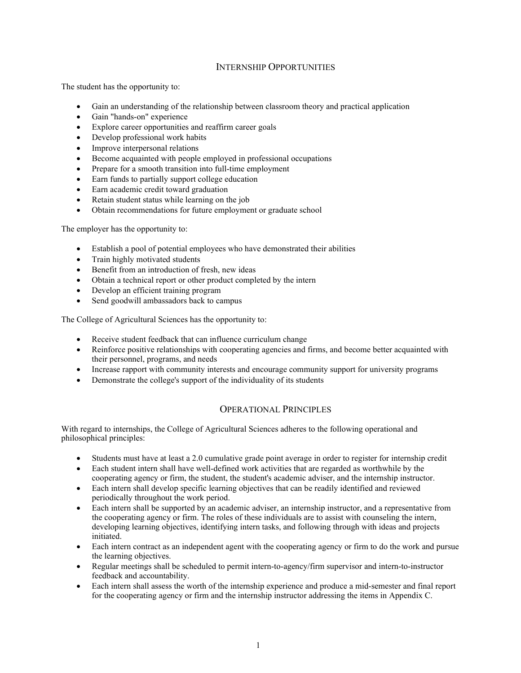#### INTERNSHIP OPPORTUNITIES

The student has the opportunity to:

- Gain an understanding of the relationship between classroom theory and practical application
- Gain "hands-on" experience
- Explore career opportunities and reaffirm career goals
- Develop professional work habits
- Improve interpersonal relations
- Become acquainted with people employed in professional occupations
- Prepare for a smooth transition into full-time employment
- Earn funds to partially support college education
- Earn academic credit toward graduation
- Retain student status while learning on the job
- Obtain recommendations for future employment or graduate school

The employer has the opportunity to:

- Establish a pool of potential employees who have demonstrated their abilities
- Train highly motivated students
- Benefit from an introduction of fresh, new ideas
- Obtain a technical report or other product completed by the intern
- Develop an efficient training program
- Send goodwill ambassadors back to campus

The College of Agricultural Sciences has the opportunity to:

- Receive student feedback that can influence curriculum change
- Reinforce positive relationships with cooperating agencies and firms, and become better acquainted with their personnel, programs, and needs
- Increase rapport with community interests and encourage community support for university programs
- Demonstrate the college's support of the individuality of its students

#### OPERATIONAL PRINCIPLES

With regard to internships, the College of Agricultural Sciences adheres to the following operational and philosophical principles:

- Students must have at least a 2.0 cumulative grade point average in order to register for internship credit
- Each student intern shall have well-defined work activities that are regarded as worthwhile by the cooperating agency or firm, the student, the student's academic adviser, and the internship instructor.
- Each intern shall develop specific learning objectives that can be readily identified and reviewed periodically throughout the work period.
- Each intern shall be supported by an academic adviser, an internship instructor, and a representative from the cooperating agency or firm. The roles of these individuals are to assist with counseling the intern, developing learning objectives, identifying intern tasks, and following through with ideas and projects initiated.
- Each intern contract as an independent agent with the cooperating agency or firm to do the work and pursue the learning objectives.
- Regular meetings shall be scheduled to permit intern-to-agency/firm supervisor and intern-to-instructor feedback and accountability.
- Each intern shall assess the worth of the internship experience and produce a mid-semester and final report for the cooperating agency or firm and the internship instructor addressing the items in Appendix C.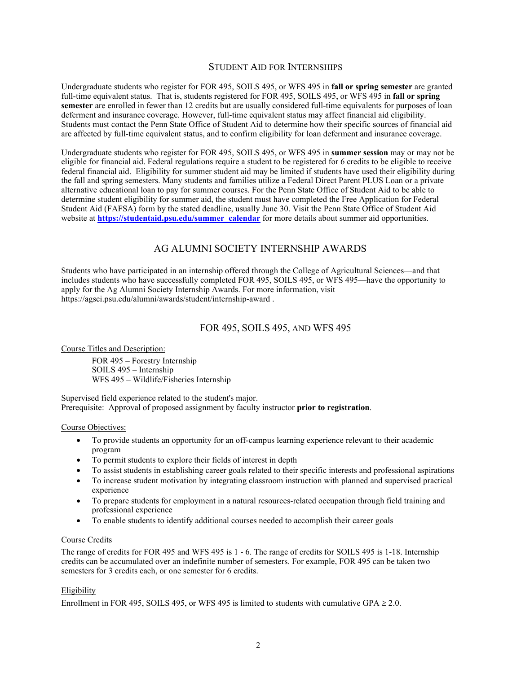#### STUDENT AID FOR INTERNSHIPS

Undergraduate students who register for FOR 495, SOILS 495, or WFS 495 in **fall or spring semester** are granted full-time equivalent status. That is, students registered for FOR 495, SOILS 495, or WFS 495 in **fall or spring semester** are enrolled in fewer than 12 credits but are usually considered full-time equivalents for purposes of loan deferment and insurance coverage. However, full-time equivalent status may affect financial aid eligibility. Students must contact the Penn State Office of Student Aid to determine how their specific sources of financial aid are affected by full-time equivalent status, and to confirm eligibility for loan deferment and insurance coverage.

Undergraduate students who register for FOR 495, SOILS 495, or WFS 495 in **summer session** may or may not be eligible for financial aid. Federal regulations require a student to be registered for 6 credits to be eligible to receive federal financial aid. Eligibility for summer student aid may be limited if students have used their eligibility during the fall and spring semesters. Many students and families utilize a Federal Direct Parent PLUS Loan or a private alternative educational loan to pay for summer courses. For the Penn State Office of Student Aid to be able to determine student eligibility for summer aid, the student must have completed the Free Application for Federal Student Aid (FAFSA) form by the stated deadline, usually June 30. Visit the Penn State Office of Student Aid website at **[https://studentaid.psu.edu/summer\\_calendar](https://studentaid.psu.edu/summer_calendar)** for more details about summer aid opportunities.

#### AG ALUMNI SOCIETY INTERNSHIP AWARDS

Students who have participated in an internship offered through the College of Agricultural Sciences—and that includes students who have successfully completed FOR 495, SOILS 495, or WFS 495—have the opportunity to apply for the Ag Alumni Society Internship Awards. For more information, visit https://agsci.psu.edu/alumni/awards/student/internship-award .

#### FOR 495, SOILS 495, AND WFS 495

Course Titles and Description:

FOR 495 – Forestry Internship SOILS 495 – Internship WFS 495 – Wildlife/Fisheries Internship

Supervised field experience related to the student's major. Prerequisite: Approval of proposed assignment by faculty instructor **prior to registration**.

#### Course Objectives:

- To provide students an opportunity for an off-campus learning experience relevant to their academic program
- To permit students to explore their fields of interest in depth
- To assist students in establishing career goals related to their specific interests and professional aspirations
- To increase student motivation by integrating classroom instruction with planned and supervised practical experience
- To prepare students for employment in a natural resources-related occupation through field training and professional experience
- To enable students to identify additional courses needed to accomplish their career goals

#### Course Credits

The range of credits for FOR 495 and WFS 495 is 1 - 6. The range of credits for SOILS 495 is 1-18. Internship credits can be accumulated over an indefinite number of semesters. For example, FOR 495 can be taken two semesters for 3 credits each, or one semester for 6 credits.

#### Eligibility

Enrollment in FOR 495, SOILS 495, or WFS 495 is limited to students with cumulative GPA  $\geq$  2.0.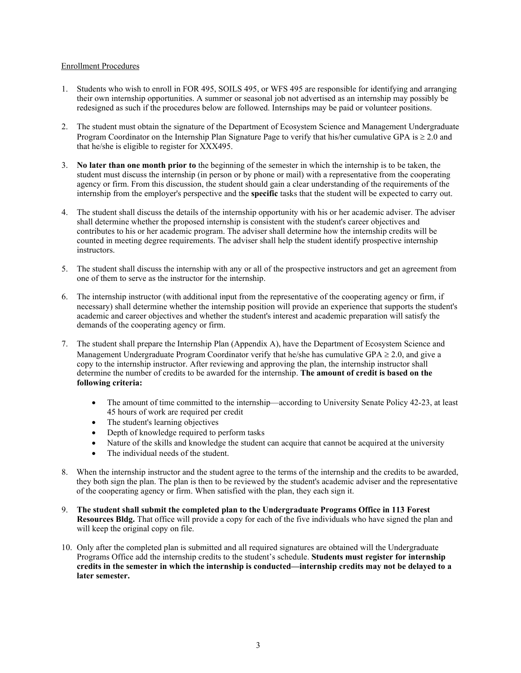#### Enrollment Procedures

- 1. Students who wish to enroll in FOR 495, SOILS 495, or WFS 495 are responsible for identifying and arranging their own internship opportunities. A summer or seasonal job not advertised as an internship may possibly be redesigned as such if the procedures below are followed. Internships may be paid or volunteer positions.
- 2. The student must obtain the signature of the Department of Ecosystem Science and Management Undergraduate Program Coordinator on the Internship Plan Signature Page to verify that his/her cumulative GPA is  $\geq 2.0$  and that he/she is eligible to register for XXX495.
- 3. **No later than one month prior to** the beginning of the semester in which the internship is to be taken, the student must discuss the internship (in person or by phone or mail) with a representative from the cooperating agency or firm. From this discussion, the student should gain a clear understanding of the requirements of the internship from the employer's perspective and the **specific** tasks that the student will be expected to carry out.
- 4. The student shall discuss the details of the internship opportunity with his or her academic adviser. The adviser shall determine whether the proposed internship is consistent with the student's career objectives and contributes to his or her academic program. The adviser shall determine how the internship credits will be counted in meeting degree requirements. The adviser shall help the student identify prospective internship instructors.
- 5. The student shall discuss the internship with any or all of the prospective instructors and get an agreement from one of them to serve as the instructor for the internship.
- 6. The internship instructor (with additional input from the representative of the cooperating agency or firm, if necessary) shall determine whether the internship position will provide an experience that supports the student's academic and career objectives and whether the student's interest and academic preparation will satisfy the demands of the cooperating agency or firm.
- 7. The student shall prepare the Internship Plan (Appendix A), have the Department of Ecosystem Science and Management Undergraduate Program Coordinator verify that he/she has cumulative GPA  $\geq 2.0$ , and give a copy to the internship instructor. After reviewing and approving the plan, the internship instructor shall determine the number of credits to be awarded for the internship. **The amount of credit is based on the following criteria:**
	- The amount of time committed to the internship—according to University Senate Policy 42-23, at least 45 hours of work are required per credit
	- The student's learning objectives
	- Depth of knowledge required to perform tasks
	- Nature of the skills and knowledge the student can acquire that cannot be acquired at the university
	- The individual needs of the student.
- 8. When the internship instructor and the student agree to the terms of the internship and the credits to be awarded, they both sign the plan. The plan is then to be reviewed by the student's academic adviser and the representative of the cooperating agency or firm. When satisfied with the plan, they each sign it.
- 9. **The student shall submit the completed plan to the Undergraduate Programs Office in 113 Forest Resources Bldg.** That office will provide a copy for each of the five individuals who have signed the plan and will keep the original copy on file.
- 10. Only after the completed plan is submitted and all required signatures are obtained will the Undergraduate Programs Office add the internship credits to the student's schedule. **Students must register for internship credits in the semester in which the internship is conducted—internship credits may not be delayed to a later semester.**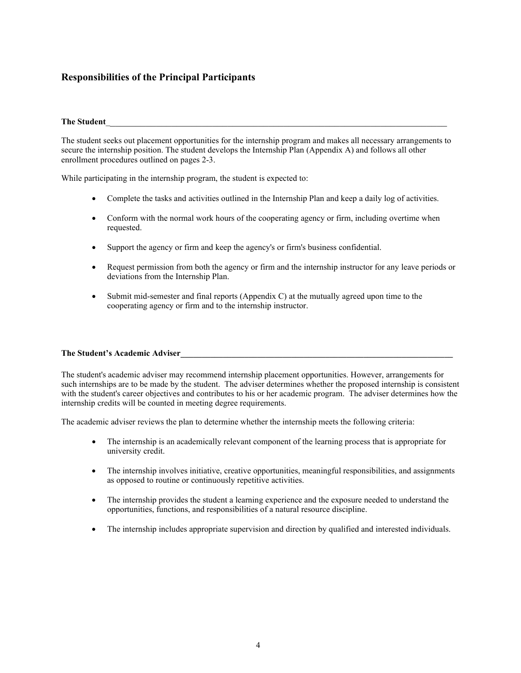#### **Responsibilities of the Principal Participants**

#### **The Student**\_\_\_\_\_\_\_\_\_\_\_\_\_\_\_\_\_\_\_\_\_\_\_\_\_\_\_\_\_\_\_\_\_\_\_\_\_\_\_\_\_\_\_\_\_\_\_\_\_\_\_\_\_\_\_\_\_\_\_\_\_\_\_\_\_\_\_

The student seeks out placement opportunities for the internship program and makes all necessary arrangements to secure the internship position. The student develops the Internship Plan (Appendix A) and follows all other enrollment procedures outlined on pages 2-3.

While participating in the internship program, the student is expected to:

- Complete the tasks and activities outlined in the Internship Plan and keep a daily log of activities.
- Conform with the normal work hours of the cooperating agency or firm, including overtime when requested.
- Support the agency or firm and keep the agency's or firm's business confidential.
- Request permission from both the agency or firm and the internship instructor for any leave periods or deviations from the Internship Plan.
- Submit mid-semester and final reports (Appendix C) at the mutually agreed upon time to the cooperating agency or firm and to the internship instructor.

#### The Student's Academic Adviser

The student's academic adviser may recommend internship placement opportunities. However, arrangements for such internships are to be made by the student. The adviser determines whether the proposed internship is consistent with the student's career objectives and contributes to his or her academic program. The adviser determines how the internship credits will be counted in meeting degree requirements.

The academic adviser reviews the plan to determine whether the internship meets the following criteria:

- The internship is an academically relevant component of the learning process that is appropriate for university credit.
- The internship involves initiative, creative opportunities, meaningful responsibilities, and assignments as opposed to routine or continuously repetitive activities.
- The internship provides the student a learning experience and the exposure needed to understand the opportunities, functions, and responsibilities of a natural resource discipline.
- The internship includes appropriate supervision and direction by qualified and interested individuals.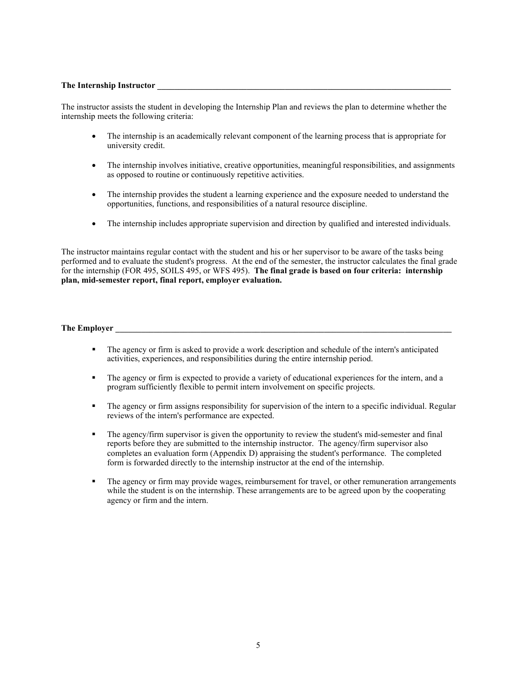#### **The Internship Instructor \_\_\_\_\_\_\_\_\_\_\_\_\_\_\_\_\_\_\_\_\_\_\_\_\_\_\_\_\_\_\_\_\_\_\_\_\_\_\_\_\_\_\_\_\_\_\_\_\_\_\_\_\_\_\_\_\_\_\_\_\_\_\_\_\_\_\_\_\_**

The instructor assists the student in developing the Internship Plan and reviews the plan to determine whether the internship meets the following criteria:

- The internship is an academically relevant component of the learning process that is appropriate for university credit.
- The internship involves initiative, creative opportunities, meaningful responsibilities, and assignments as opposed to routine or continuously repetitive activities.
- The internship provides the student a learning experience and the exposure needed to understand the opportunities, functions, and responsibilities of a natural resource discipline.
- The internship includes appropriate supervision and direction by qualified and interested individuals.

The instructor maintains regular contact with the student and his or her supervisor to be aware of the tasks being performed and to evaluate the student's progress. At the end of the semester, the instructor calculates the final grade for the internship (FOR 495, SOILS 495, or WFS 495). **The final grade is based on four criteria: internship plan, mid-semester report, final report, employer evaluation.**

The Employer

- The agency or firm is asked to provide a work description and schedule of the intern's anticipated activities, experiences, and responsibilities during the entire internship period.
- The agency or firm is expected to provide a variety of educational experiences for the intern, and a program sufficiently flexible to permit intern involvement on specific projects.
- The agency or firm assigns responsibility for supervision of the intern to a specific individual. Regular reviews of the intern's performance are expected.
- The agency/firm supervisor is given the opportunity to review the student's mid-semester and final reports before they are submitted to the internship instructor. The agency/firm supervisor also completes an evaluation form (Appendix D) appraising the student's performance. The completed form is forwarded directly to the internship instructor at the end of the internship.
- The agency or firm may provide wages, reimbursement for travel, or other remuneration arrangements while the student is on the internship. These arrangements are to be agreed upon by the cooperating agency or firm and the intern.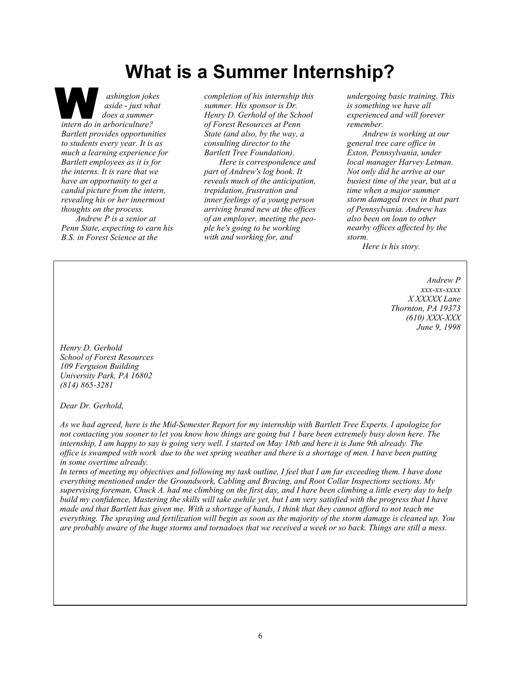## **What is a Summer Internship?**

*ashington jokes aside* - *just what does a summer intern do in arboriculture? Bartlett provides opportunities to students every year. It is as much a learning experience for Bartlett employees as it is for the interns. It is rare that we have an opportunity to get a candid picture from the intern, revealing his or her innermost thoughts on the process. Andrew P is a senior at Penn State, expecting to earn his B.S. in Forest Science at the*

*completion of his internship this summer. His sponsor is Dr. Henry D. Gerhold of the School of Forest Resources at Penn State (and also, by the way, a consulting director to the Bartlett Tree Foundation).*

*Here is correspondence and part of Andrew's log book. It reveals much of the anticipation, trepidation, frustration and inner feelings of a young person arriving brand new at the offices of an employer, meeting the people he's going to be working with and working for, and*

*undergoing basic training. This is something we have all experienced and will forever remember.*

*Andrew is working at our general tree care office in Exton, Pennsylvania, under local manager Harvey Letman. Not only did he arrive at our busiest time of the year,* but *at a time when a major summer storm damaged trees in that part of Pennsylvania. Andrew has also been on loan to other nearby offices affected by the storm.*

*Here is his story.*

*Andrew P xxx-xx-xxxx X XXXXX Lane Thornton, PA 19373 (610) XXX-XXX June 9, 1998*

*Henry D. Gerhold School of Forest Resources 109 Ferguson Building University Park, PA 16802 (814) 865-3281*

*Dear Dr. Gerhold,*

*As we had agreed, here is the Mid-Semester Report for my internship with Bartlett Tree Experts. I apologize for not contacting you sooner to let you know how things are going but 1 bare been extremely busy down here. The internship, I am happy to say is going very well. I started on May 18tb and here it is June 9th already. The office is swamped with work due to the wet spring weather and there is a shortage of men. I have been putting in some overtime already.*

*In terms of meeting my objectives and following my task outline, I feel that I am far exceeding them. I have done everything mentioned under the Groundwork, Cabling and Bracing, and Root Collar Inspections sections. My supervising foreman, Chuck A. had me climbing on the first day, and I hare been climbing a little every day to help build my confidence, Mastering the skills will take awhile yet, but I am very satisfied with the progress that I have made and that Bartlett has given me. With a shortage of hands, I think that they cannot afford to not teach me everything. The spraying and fertilization will begin as soon as the majority of the storm damage is cleaned up. You are probably aware of the huge storms and tornadoes that we received a week or so back. Things are still a mess.*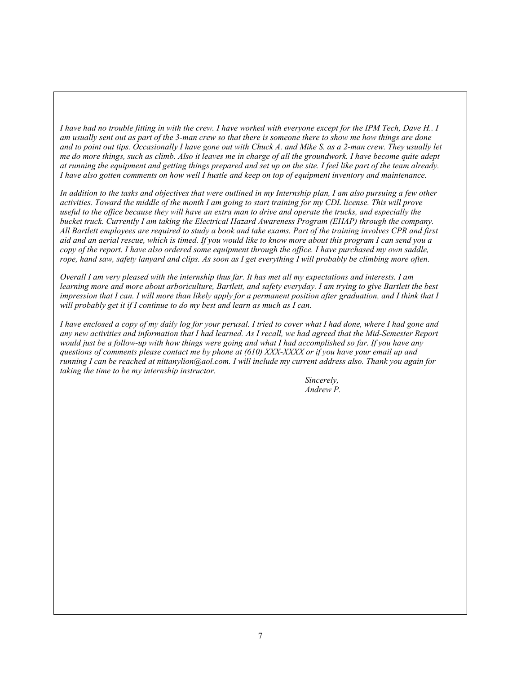*I have had no trouble fitting in with the crew. I have worked with everyone except for the IPM Tech, Dave H.. I am usually sent out as part of the 3-man crew so that there is someone there to show me how things are done and to point out tips. Occasionally I have gone out with Chuck A. and Mike S. as a 2-man crew. They usually let me do more things, such as climb. Also it leaves me in charge of all the groundwork. I have become quite adept at running the equipment and getting things prepared and set up on the site. I feel like part of the team already. I have also gotten comments on how well I hustle and keep on top of equipment inventory and maintenance.*

*In addition to the tasks and objectives that were outlined in my Internship plan, I am also pursuing a few other activities. Toward the middle of the month I am going to start training for my CDL license. This will prove useful to the office because they will have an extra man to drive and operate the trucks, and especially the bucket truck. Currently I am taking the Electrical Hazard Awareness Program (EHAP) through the company. All Bartlett employees are required to study a book and take exams. Part of the training involves CPR and first aid and an aerial rescue, which is timed. If you would like to know more about this program I can send you a copy of the report. I have also ordered some equipment through the office. I have purchased my own saddle, rope, hand saw, safety lanyard and clips. As soon as I get everything I will probably be climbing more often.*

*Overall I am very pleased with the internship thus far. It has met all my expectations and interests. I am learning more and more about arboriculture, Bartlett, and safety everyday. I am trying to give Bartlett the best impression that I can. I will more than likely apply for a permanent position after graduation, and I think that I will probably get it if I continue to do my best and learn as much as I can.*

*I have enclosed a copy of my daily log for your perusal. I tried to cover what I had done, where I had gone and any new activities and information that I had learned. As I recall, we had agreed that the Mid-Semester Report would just be a follow-up with how things were going and what I had accomplished so far. If you have any questions of comments please contact me by phone at (610) XXX-XXXX or if you have your email up and running I can be reached at nittanylion@aol.com. I will include my current address also. Thank you again for taking the time to be my internship instructor.*

> *Sincerely, Andrew P.*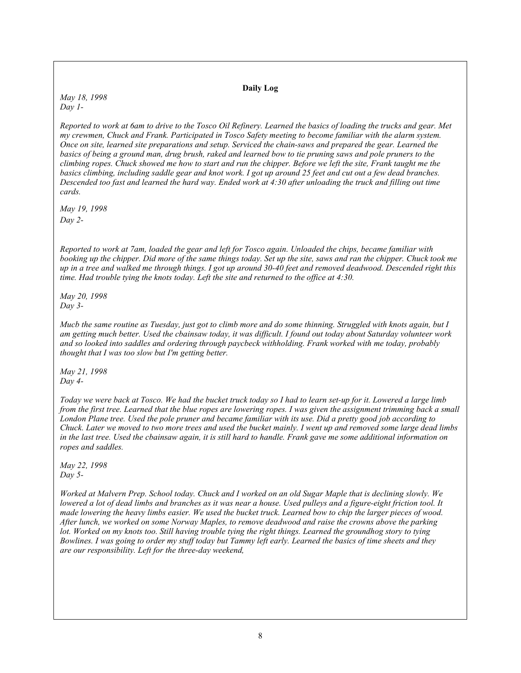#### **Daily Log**

*May 18, 1998 Day 1-*

*Reported to work at 6am to drive to the Tosco Oil Refinery. Learned the basics of loading the trucks and gear. Met my crewmen, Chuck and Frank. Participated in Tosco Safety meeting to become familiar with the alarm system. Once on site, learned site preparations and setup. Serviced the chain-saws and prepared the gear. Learned the basics of being a ground man, drug brush, raked and learned bow to tie pruning saws and pole pruners to the climbing ropes. Chuck showed me how to start and run the chipper. Before we left the site, Frank taught me the basics climbing, including saddle gear and knot work. I got up around 25 feet and cut out a few dead branches. Descended too fast and learned the hard way. Ended work at 4:30 after unloading the truck and filling out time cards.*

*May 19, 1998 Day 2-*

*Reported to work at 7am, loaded the gear and left for Tosco again. Unloaded the chips, became familiar with booking up the chipper. Did more of the same things today. Set up the site, saws and ran the chipper. Chuck took me up in a tree and walked me through things. I got up around 30-40 feet and removed deadwood. Descended right this time. Had trouble tying the knots today. Left the site and returned to the office at 4:30.*

*May 20, 1998 Day 3-*

*Mucb the same routine as Tuesday, just got to climb more and do some thinning. Struggled with knots again, but I am getting much better. Used the cbainsaw today, it was difficult. I found out today about Saturday volunteer work and so looked into saddles and ordering through paycbeck withholding. Frank worked with me today, probably thought that I was too slow but I'm getting better.*

*May 21, 1998 Day 4-*

*Today we were back at Tosco. We had the bucket truck today so I had to learn set-up for it. Lowered a large limb from the first tree. Learned that the blue ropes are lowering ropes. I was given the assignment trimming back a small London Plane tree. Used the pole pruner and became familiar with its use. Did a pretty good job according to Chuck. Later we moved to two more trees and used the bucket mainly. I went up and removed some large dead limbs in the last tree. Used the cbainsaw again, it is still hard to handle. Frank gave me some additional information on ropes and saddles.*

*May 22, 1998 Day 5-*

*Worked at Malvern Prep. School today. Chuck and I worked on an old Sugar Maple that is declining slowly. We lowered a lot of dead limbs and branches as it was near a house. Used pulleys and a figure-eight friction tool. It made lowering the heavy limbs easier. We used the bucket truck. Learned bow to chip the larger pieces of wood. After lunch, we worked on some Norway Maples, to remove deadwood and raise the crowns above the parking lot. Worked on my knots too. Still having trouble tying the right things. Learned the groundhog story to tying Bowlines. I was going to order my stuff today but Tammy left early. Learned the basics of time sheets and they are our responsibility. Left for the three-day weekend,*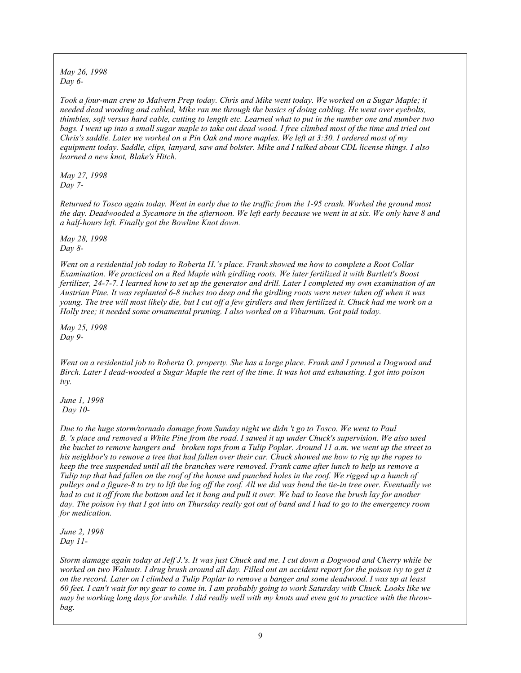*May 26, 1998 Day 6-*

*Took a four-man crew to Malvern Prep today. Chris and Mike went today. We worked on a Sugar Maple; it needed dead wooding and cabled, Mike ran me through the basics of doing cabling. He went over eyebolts, thimbles, soft versus hard cable, cutting to length etc. Learned what to put in the number one and number two bags. I went up into a small sugar maple to take out dead wood. I free climbed most of the time and tried out Chris's saddle. Later we worked on a Pin Oak and more maples. We left at 3:30. I ordered most of my equipment today. Saddle, clips, lanyard, saw and bolster. Mike and I talked about CDL license things. I also learned a new knot, Blake's Hitch.*

*May 27, 1998 Day 7-*

*Returned to Tosco again today. Went in early due to the traffic from the 1-95 crash. Worked the ground most the day. Deadwooded a Sycamore in the afternoon. We left early because we went in at six. We only have 8 and a half-hours left. Finally got the Bowline Knot down.*

*May 28, 1998 Day 8-*

*Went on a residential job today to Roberta H.'s place. Frank showed me how to complete a Root Collar Examination. We practiced on a Red Maple with girdling roots. We later fertilized it with Bartlett's Boost fertilizer, 24-7-7. I learned how to set up the generator and drill. Later I completed my own examination of an Austrian Pine. It was replanted 6-8 inches too deep and the girdling roots were never taken off when it was young. The tree will most likely die, but I cut off a few girdlers and then fertilized it. Chuck had me work on a Holly tree; it needed some ornamental pruning. I also worked on a Viburnum. Got paid today.*

*May 25, 1998 Day 9-*

*Went on a residential job to Roberta O. property. She has a large place. Frank and I pruned a Dogwood and Birch. Later I dead-wooded a Sugar Maple the rest of the time. It was hot and exhausting. I got into poison ivy.*

*June 1, 1998 Day 10-*

*Due to the huge storm/tornado damage from Sunday night we didn 't go to Tosco. We went to Paul B. 's place and removed a White Pine from the road. I sawed it up under Chuck's supervision. We also used the bucket to remove hangers and broken tops from a Tulip Poplar. Around 11 a.m. we went up the street to his neighbor's to remove a tree that had fallen over their car. Chuck showed me how to rig up the ropes to keep the tree suspended until all the branches were removed. Frank came after lunch to help us remove a Tulip top that had fallen on the roof of the house and punched holes in the roof. We rigged up a hunch of pulleys and a figure-8 to try to lift the log off the roof. All we did was bend the tie-in tree over. Eventually we had to cut it off from the bottom and let it bang and pull it over. We bad to leave the brush lay for another day. The poison ivy that I got into on Thursday really got out of band and I had to go to the emergency room for medication.*

*June 2, 1998 Day 11-*

*Storm damage again today at Jeff J.'s. It was just Chuck and me. I cut down a Dogwood and Cherry while be worked on two Walnuts. I drug brush around all day. Filled out an accident report for the poison ivy to get it on the record. Later on I climbed a Tulip Poplar to remove a banger and some deadwood. I was up at least 60 feet. I can't wait for my gear to come in. I am probably going to work Saturday with Chuck. Looks like we may be working long days for awhile. I did really well with my knots and even got to practice with the throwbag.*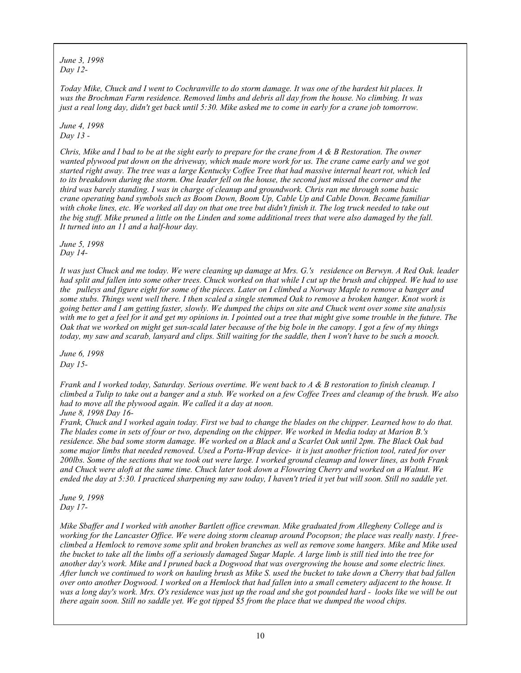*June 3, 1998 Day 12-*

*Today Mike, Chuck and I went to Cochranville to do storm damage. It was one of the hardest hit places. It was the Brochman Farm residence. Removed limbs and debris all day from the house. No climbing. It was just a real long day, didn't get back until 5:30. Mike asked me to come in early for a crane job tomorrow.*

*June 4, 1998 Day 13 -*

*Chris, Mike and I bad to be at the sight early to prepare for the crane from A & B Restoration. The owner wanted plywood put down on the driveway, which made more work for us. The crane came early and we got started right away. The tree was a large Kentucky Coffee Tree that had massive internal heart rot, which led to its breakdown during the storm. One leader fell on the house, the second just missed the corner and the third was barely standing. I was in charge of cleanup and groundwork. Chris ran me through some basic crane operating band symbols such as Boom Down, Boom Up, Cable Up and Cable Down. Became familiar*  with choke lines, etc. We worked all day on that one tree but didn't finish it. The log truck needed to take out *the big stuff. Mike pruned a little on the Linden and some additional trees that were also damaged by the fall. It turned into an 11 and a half-hour day.*

*June 5, 1998 Day 14-*

*It was just Chuck and me today. We were cleaning up damage at Mrs. G.'s residence on Berwyn. A Red Oak. leader had split and fallen into some other trees. Chuck worked on that while I cut up the brush and chipped. We had to use the pulleys and figure eight for some of the pieces. Later on I climbed a Norway Maple to remove a banger and some stubs. Things went well there. I then scaled a single stemmed Oak to remove a broken hanger. Knot work is going better and I am getting faster, slowly. We dumped the chips on site and Chuck went over some site analysis with me to get a feel for it and get my opinions in. I pointed out a tree that might give some trouble in the future. The Oak that we worked on might get sun-scald later because of the big bole in the canopy. I got a few of my things today, my saw and scarab, lanyard and clips. Still waiting for the saddle, then I won't have to be such a mooch.*

*June 6, 1998 Day 15-*

*Frank and I worked today, Saturday. Serious overtime. We went back to A & B restoration to finish cleanup. I climbed a Tulip to take out a banger and a stub. We worked on a few Coffee Trees and cleanup of the brush. We also had to move all the plywood again. We called it a day at noon. June 8, 1998 Day 16-*

*Frank, Chuck and I worked again today. First we bad to change the blades on the chipper. Learned how to do that. The blades come in sets of four or two, depending on the chipper. We worked in Media today at Marion B.'s residence. She bad some storm damage. We worked on a Black and a Scarlet Oak until 2pm. The Black Oak bad some major limbs that needed removed. Used a Porta-Wrap device- it is just another friction tool, rated for over 200lbs. Some of the sections that we took out were large. I worked ground cleanup and lower lines, as both Frank and Chuck were aloft at the same time. Chuck later took down a Flowering Cherry and worked on a Walnut. We ended the day at 5:30. I practiced sharpening my saw today, I haven't tried it yet but will soon. Still no saddle yet.*

*June 9, 1998 Day 17-*

*Mike Sbaffer and I worked with another Bartlett office crewman. Mike graduated from Allegheny College and is working for the Lancaster Office. We were doing storm cleanup around Pocopson; the place was really nasty. I freeclimbed a Hemlock to remove some split and broken branches as well as remove some hangers. Mike and Mike used the bucket to take all the limbs off a seriously damaged Sugar Maple. A large limb is still tied into the tree for another day's work. Mike and I pruned back a Dogwood that was overgrowing the house and some electric lines. After lunch we continued to work on hauling brush as Mike S. used the bucket to take down a Cherry that bad fallen over onto another Dogwood. I worked on a Hemlock that had fallen into a small cemetery adjacent to the house. It was a long day's work. Mrs. O's residence was just up the road and she got pounded hard - looks like we will be out there again soon. Still no saddle yet. We got tipped \$5 from the place that we dumped the wood chips.*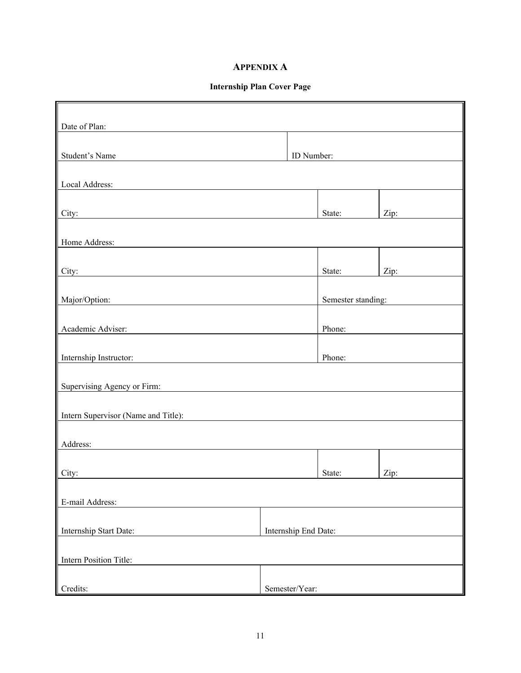#### **APPENDIX A**

#### **Internship Plan Cover Page**

r.

| Date of Plan:                                                                                                                                  |                      |                    |      |  |
|------------------------------------------------------------------------------------------------------------------------------------------------|----------------------|--------------------|------|--|
| Student's Name                                                                                                                                 | ID Number:           |                    |      |  |
| Local Address:                                                                                                                                 |                      |                    |      |  |
| City:                                                                                                                                          |                      | State:             | Zip: |  |
| Home Address:                                                                                                                                  |                      |                    |      |  |
| City:                                                                                                                                          |                      | State:             | Zip: |  |
| Major/Option:                                                                                                                                  |                      | Semester standing: |      |  |
| Academic Adviser:                                                                                                                              |                      | Phone:             |      |  |
| Internship Instructor:<br><u> 1989 - Jan Stein Harry Stein Harry Stein Harry Stein Harry Stein Harry Stein Harry Stein Harry Stein Harry S</u> |                      | Phone:             |      |  |
| Supervising Agency or Firm:                                                                                                                    |                      |                    |      |  |
| Intern Supervisor (Name and Title):                                                                                                            |                      |                    |      |  |
| Address:                                                                                                                                       |                      |                    |      |  |
| City:                                                                                                                                          |                      | State:             | Zip: |  |
| E-mail Address:                                                                                                                                |                      |                    |      |  |
| Internship Start Date:                                                                                                                         | Internship End Date: |                    |      |  |
| Intern Position Title:                                                                                                                         |                      |                    |      |  |
| Credits:                                                                                                                                       | Semester/Year:       |                    |      |  |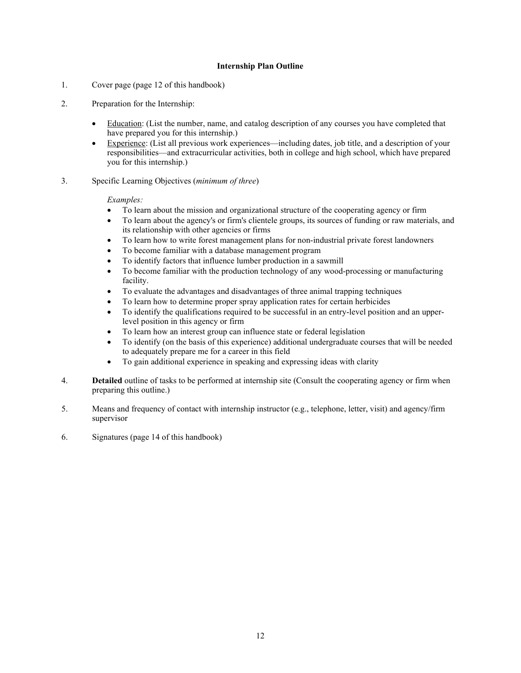#### **Internship Plan Outline**

- 1. Cover page (page 12 of this handbook)
- 2. Preparation for the Internship:
	- Education: (List the number, name, and catalog description of any courses you have completed that have prepared you for this internship.)
	- Experience: (List all previous work experiences—including dates, job title, and a description of your responsibilities—and extracurricular activities, both in college and high school, which have prepared you for this internship.)
- 3. Specific Learning Objectives (*minimum of three*)

#### *Examples:*

- To learn about the mission and organizational structure of the cooperating agency or firm
- To learn about the agency's or firm's clientele groups, its sources of funding or raw materials, and its relationship with other agencies or firms
- To learn how to write forest management plans for non-industrial private forest landowners
- To become familiar with a database management program
- To identify factors that influence lumber production in a sawmill
- To become familiar with the production technology of any wood-processing or manufacturing facility.
- To evaluate the advantages and disadvantages of three animal trapping techniques
- To learn how to determine proper spray application rates for certain herbicides
- To identify the qualifications required to be successful in an entry-level position and an upperlevel position in this agency or firm
- To learn how an interest group can influence state or federal legislation
- To identify (on the basis of this experience) additional undergraduate courses that will be needed to adequately prepare me for a career in this field
- To gain additional experience in speaking and expressing ideas with clarity
- 4. **Detailed** outline of tasks to be performed at internship site (Consult the cooperating agency or firm when preparing this outline.)
- 5. Means and frequency of contact with internship instructor (e.g., telephone, letter, visit) and agency/firm supervisor
- 6. Signatures (page 14 of this handbook)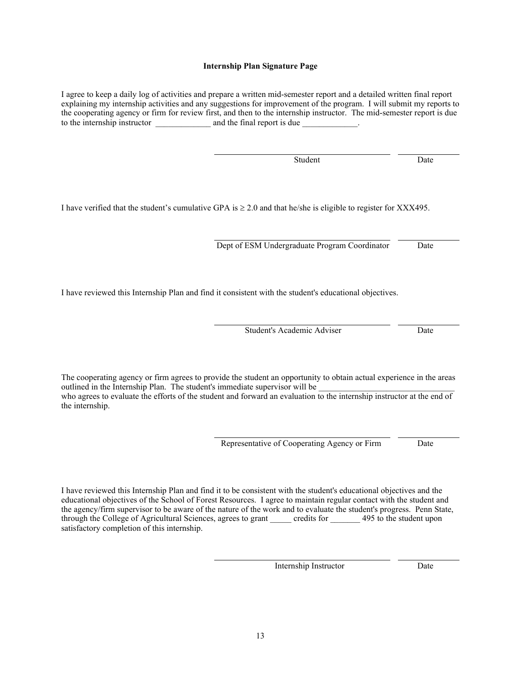13

#### Internship Instructor Date

outlined in the Internship Plan. The student's immediate supervisor will be who agrees to evaluate the efforts of the student and forward an evaluation to the internship instructor at the end of the internship.

I have reviewed this Internship Plan and find it to be consistent with the student's educational objectives and the educational objectives of the School of Forest Resources. I agree to maintain regular contact with the student and the agency/firm supervisor to be aware of the nature of the work and to evaluate the student's progress. Penn State, through the College of Agricultural Sciences, agrees to grant credits for 495 to the student upon

satisfactory completion of this internship.

The cooperating agency or firm agrees to provide the student an opportunity to obtain actual experience in the areas

I have reviewed this Internship Plan and find it consistent with the student's educational objectives.

Dept of ESM Undergraduate Program Coordinator Date

Student's Academic Adviser Date

I have verified that the student's cumulative GPA is  $\geq 2.0$  and that he/she is eligible to register for XXX495.

I agree to keep a daily log of activities and prepare a written mid-semester report and a detailed written final report explaining my internship activities and any suggestions for improvement of the program. I will submit my reports to the cooperating agency or firm for review first, and then to the internship instructor. The mid-semester report is due<br>to the internship instructor and the final report is due to the internship instructor

**Internship Plan Signature Page**

Representative of Cooperating Agency or Firm Date

Student Date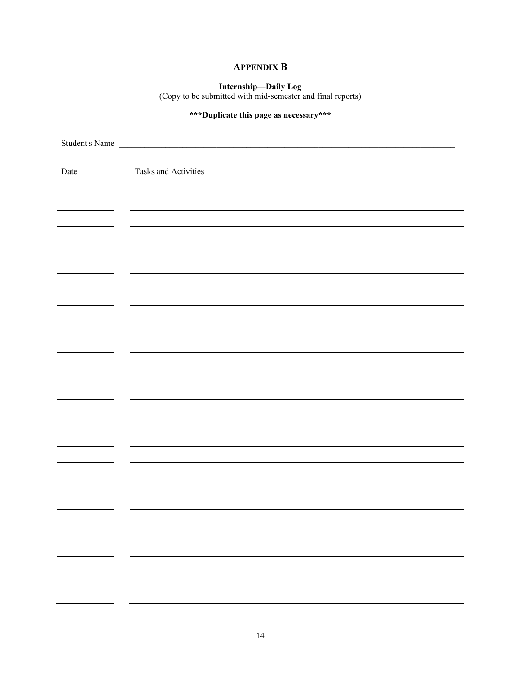#### **APPENDIX B**

**Internship—Daily Log**  (Copy to be submitted with mid-semester and final reports)

### **\*\*\*Duplicate this page as necessary\*\*\***

|      | Student's Name       |
|------|----------------------|
|      |                      |
| Date | Tasks and Activities |
|      |                      |
|      |                      |
|      |                      |
|      |                      |
|      |                      |
|      |                      |
|      |                      |
|      |                      |
|      |                      |
|      |                      |
|      |                      |
|      |                      |
|      |                      |
|      |                      |
|      |                      |
|      |                      |
|      |                      |
|      |                      |
|      |                      |
|      |                      |
|      |                      |
|      |                      |
|      |                      |
|      |                      |
|      |                      |
|      |                      |
|      |                      |
|      |                      |
|      |                      |
| н.   |                      |
|      |                      |
|      |                      |
|      |                      |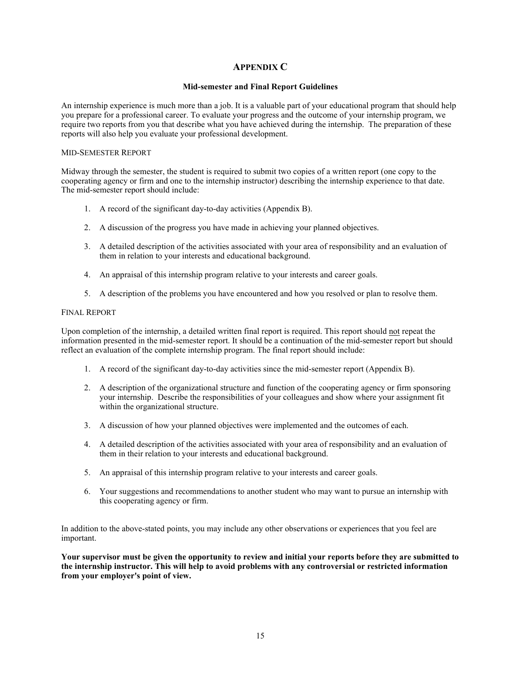#### **APPENDIX C**

#### **Mid-semester and Final Report Guidelines**

An internship experience is much more than a job. It is a valuable part of your educational program that should help you prepare for a professional career. To evaluate your progress and the outcome of your internship program, we require two reports from you that describe what you have achieved during the internship. The preparation of these reports will also help you evaluate your professional development.

#### MID-SEMESTER REPORT

Midway through the semester, the student is required to submit two copies of a written report (one copy to the cooperating agency or firm and one to the internship instructor) describing the internship experience to that date. The mid-semester report should include:

- 1. A record of the significant day-to-day activities (Appendix B).
- 2. A discussion of the progress you have made in achieving your planned objectives.
- 3. A detailed description of the activities associated with your area of responsibility and an evaluation of them in relation to your interests and educational background.
- 4. An appraisal of this internship program relative to your interests and career goals.
- 5. A description of the problems you have encountered and how you resolved or plan to resolve them.

#### FINAL REPORT

Upon completion of the internship, a detailed written final report is required. This report should not repeat the information presented in the mid-semester report. It should be a continuation of the mid-semester report but should reflect an evaluation of the complete internship program. The final report should include:

- 1. A record of the significant day-to-day activities since the mid-semester report (Appendix B).
- 2. A description of the organizational structure and function of the cooperating agency or firm sponsoring your internship. Describe the responsibilities of your colleagues and show where your assignment fit within the organizational structure.
- 3. A discussion of how your planned objectives were implemented and the outcomes of each.
- 4. A detailed description of the activities associated with your area of responsibility and an evaluation of them in their relation to your interests and educational background.
- 5. An appraisal of this internship program relative to your interests and career goals.
- 6. Your suggestions and recommendations to another student who may want to pursue an internship with this cooperating agency or firm.

In addition to the above-stated points, you may include any other observations or experiences that you feel are important.

**Your supervisor must be given the opportunity to review and initial your reports before they are submitted to the internship instructor. This will help to avoid problems with any controversial or restricted information from your employer's point of view.**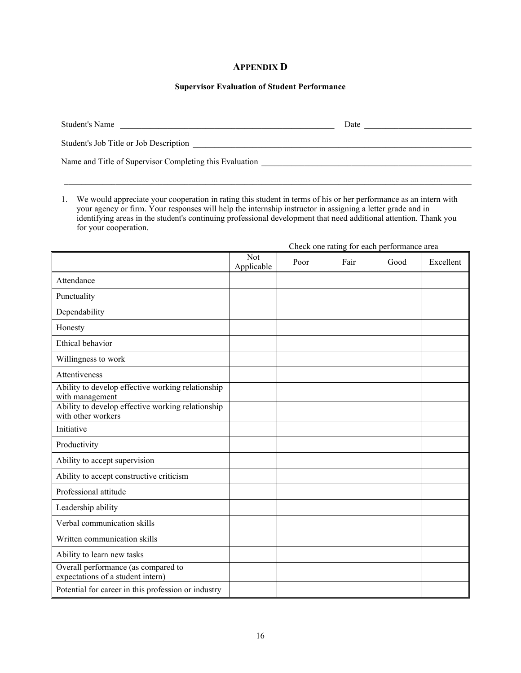#### **APPENDIX D**

#### **Supervisor Evaluation of Student Performance**

| Student's Name                                          | Date |
|---------------------------------------------------------|------|
| Student's Job Title or Job Description                  |      |
| Name and Title of Supervisor Completing this Evaluation |      |

 $\mathcal{L}_\mathcal{L} = \{ \mathcal{L}_\mathcal{L} = \{ \mathcal{L}_\mathcal{L} = \{ \mathcal{L}_\mathcal{L} = \{ \mathcal{L}_\mathcal{L} = \{ \mathcal{L}_\mathcal{L} = \{ \mathcal{L}_\mathcal{L} = \{ \mathcal{L}_\mathcal{L} = \{ \mathcal{L}_\mathcal{L} = \{ \mathcal{L}_\mathcal{L} = \{ \mathcal{L}_\mathcal{L} = \{ \mathcal{L}_\mathcal{L} = \{ \mathcal{L}_\mathcal{L} = \{ \mathcal{L}_\mathcal{L} = \{ \mathcal{L}_\mathcal{$ 

1. We would appreciate your cooperation in rating this student in terms of his or her performance as an intern with your agency or firm. Your responses will help the internship instructor in assigning a letter grade and in identifying areas in the student's continuing professional development that need additional attention. Thank you for your cooperation.

|                                                                          | Check one rating for each performance area |      |      |      |           |  |
|--------------------------------------------------------------------------|--------------------------------------------|------|------|------|-----------|--|
|                                                                          | Not<br>Applicable                          | Poor | Fair | Good | Excellent |  |
| Attendance                                                               |                                            |      |      |      |           |  |
| Punctuality                                                              |                                            |      |      |      |           |  |
| Dependability                                                            |                                            |      |      |      |           |  |
| Honesty                                                                  |                                            |      |      |      |           |  |
| Ethical behavior                                                         |                                            |      |      |      |           |  |
| Willingness to work                                                      |                                            |      |      |      |           |  |
| Attentiveness                                                            |                                            |      |      |      |           |  |
| Ability to develop effective working relationship<br>with management     |                                            |      |      |      |           |  |
| Ability to develop effective working relationship<br>with other workers  |                                            |      |      |      |           |  |
| Initiative                                                               |                                            |      |      |      |           |  |
| Productivity                                                             |                                            |      |      |      |           |  |
| Ability to accept supervision                                            |                                            |      |      |      |           |  |
| Ability to accept constructive criticism                                 |                                            |      |      |      |           |  |
| Professional attitude                                                    |                                            |      |      |      |           |  |
| Leadership ability                                                       |                                            |      |      |      |           |  |
| Verbal communication skills                                              |                                            |      |      |      |           |  |
| Written communication skills                                             |                                            |      |      |      |           |  |
| Ability to learn new tasks                                               |                                            |      |      |      |           |  |
| Overall performance (as compared to<br>expectations of a student intern) |                                            |      |      |      |           |  |
| Potential for career in this profession or industry                      |                                            |      |      |      |           |  |

16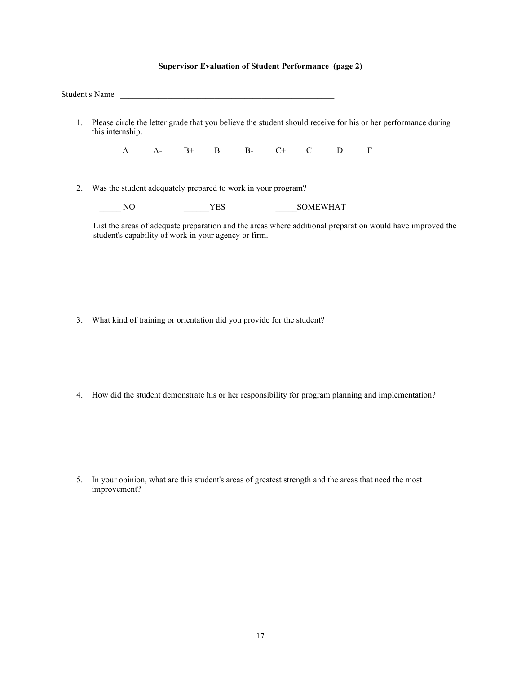#### **Supervisor Evaluation of Student Performance (page 2)**

| this internship. |    |  |            |                                                              |                 |  | Please circle the letter grade that you believe the student should receive for his or her performance during |
|------------------|----|--|------------|--------------------------------------------------------------|-----------------|--|--------------------------------------------------------------------------------------------------------------|
|                  |    |  |            | A A- B+ B B- C+ C D F                                        |                 |  |                                                                                                              |
|                  |    |  |            | Was the student adequately prepared to work in your program? |                 |  |                                                                                                              |
|                  | NΟ |  | <b>YES</b> |                                                              | <b>SOMEWHAT</b> |  |                                                                                                              |

- 3. What kind of training or orientation did you provide for the student?
- 4. How did the student demonstrate his or her responsibility for program planning and implementation?

5. In your opinion, what are this student's areas of greatest strength and the areas that need the most improvement?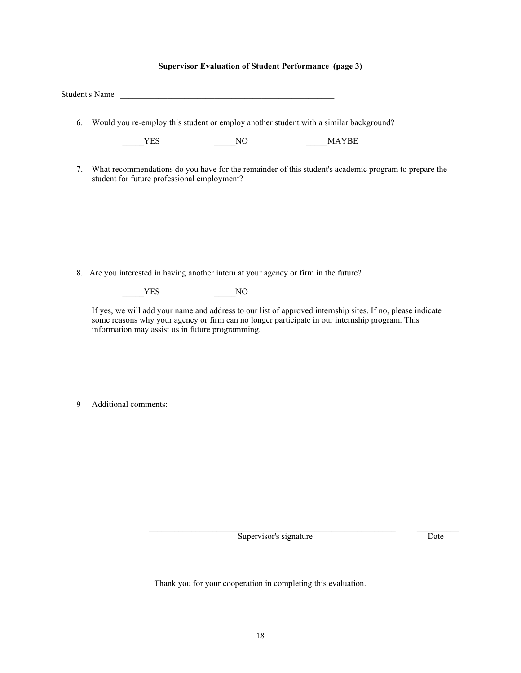#### **Supervisor Evaluation of Student Performance (page 3)**

|    | Student's Name                                                                                                                                                                                                                                                   |
|----|------------------------------------------------------------------------------------------------------------------------------------------------------------------------------------------------------------------------------------------------------------------|
| 6. | Would you re-employ this student or employ another student with a similar background?                                                                                                                                                                            |
|    | <b>MAYBE</b><br>YES<br>NO.                                                                                                                                                                                                                                       |
| 7. | What recommendations do you have for the remainder of this student's academic program to prepare the<br>student for future professional employment?                                                                                                              |
|    |                                                                                                                                                                                                                                                                  |
|    |                                                                                                                                                                                                                                                                  |
|    |                                                                                                                                                                                                                                                                  |
|    | 8. Are you interested in having another intern at your agency or firm in the future?                                                                                                                                                                             |
|    | N <sub>O</sub><br>YES                                                                                                                                                                                                                                            |
|    | If yes, we will add your name and address to our list of approved internship sites. If no, please indicate<br>some reasons why your agency or firm can no longer participate in our internship program. This<br>information may assist us in future programming. |

9 Additional comments:

Supervisor's signature Date

\_\_\_\_\_\_\_\_\_\_\_\_\_\_\_\_\_\_\_\_\_\_\_\_\_\_\_\_\_\_\_\_\_\_\_\_\_\_\_\_\_\_\_\_\_\_\_\_\_\_\_\_\_\_\_\_\_\_ \_\_\_\_\_\_\_\_\_\_

Thank you for your cooperation in completing this evaluation.